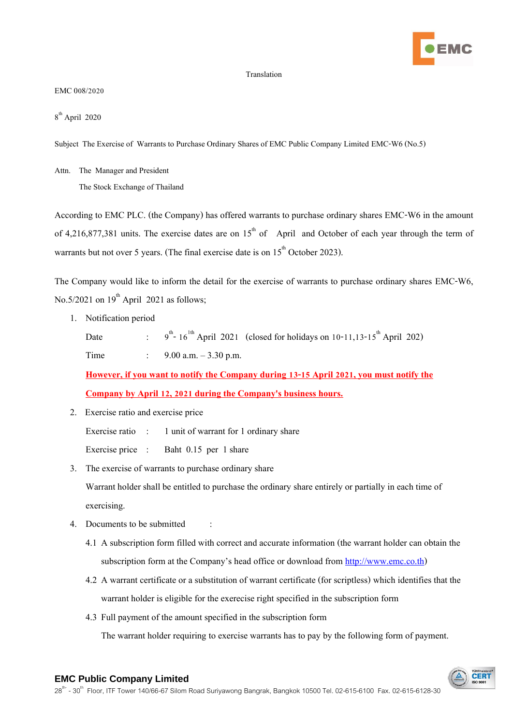

## Translation

EMC 008/2020

8 th April 2020

Subject The Exercise of Warrants to Purchase Ordinary Shares of EMC Public Company Limited EMC-W6 (No.5)

Attn. The Manager and President

The Stock Exchange of Thailand

According to EMC PLC. (the Company) has offered warrants to purchase ordinary shares EMC-W6 in the amount of 4,216,877,381 units. The exercise dates are on  $15<sup>th</sup>$  of April and October of each year through the term of warrants but not over 5 years. (The final exercise date is on  $15<sup>th</sup>$  October 2023).

The Company would like to inform the detail for the exercise of warrants to purchase ordinary shares EMC-W6, No.5/2021 on  $19<sup>th</sup>$  April 2021 as follows;

1. Notification period

Date :  $9^{th}$ -  $16^{1th}$  April 2021 (closed for holidays on 10-11,13-15<sup>th</sup> April 202) Time : 9.00 a.m. – 3.30 p.m.

**However, if you want to notify the Company during 13-15 April 2021, you must notify the Company by April 12, 2021 during the Company's business hours.**

2. Exercise ratio and exercise price

Exercise ratio : 1 unit of warrant for 1 ordinary share

Exercise price : Baht 0.15 per 1 share

3. The exercise of warrants to purchase ordinary share

Warrant holder shall be entitled to purchase the ordinary share entirely or partially in each time of exercising.

- 4. Documents to be submitted :
	- 4.1 A subscription form filled with correct and accurate information (the warrant holder can obtain the subscription form at the Company's head office or download from [http://www.emc.co.th\)](http://www.emc.co.th/)
	- 4.2 A warrant certificate or a substitution of warrant certificate (for scriptless) which identifies that the warrant holder is eligible for the exerecise right specified in the subscription form
	- 4.3 Full payment of the amount specified in the subscription form The warrant holder requiring to exercise warrants has to pay by the following form of payment.

CFR